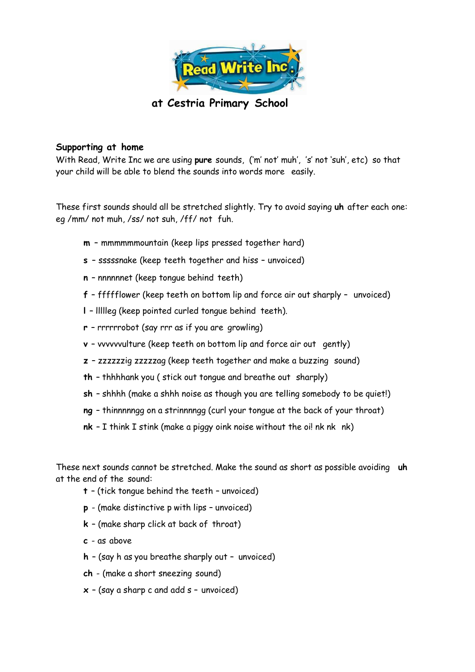

**at Cestria Primary School**

## **Supporting at home**

With Read, Write Inc we are using **pure** sounds, ('m' not' muh', 's' not 'suh', etc) so that your child will be able to blend the sounds into words more easily.

These first sounds should all be stretched slightly. Try to avoid saying **uh** after each one: eg /mm/ not muh, /ss/ not suh, /ff/ not fuh.

- **m**  mmmmmmountain (keep lips pressed together hard)
- **s**  sssssnake (keep teeth together and hiss unvoiced)
- **n**  nnnnnnet (keep tongue behind teeth)
- **f**  ffffflower (keep teeth on bottom lip and force air out sharply unvoiced)
- **l**  llllleg (keep pointed curled tongue behind teeth).
- **r**  rrrrrrobot (say rrr as if you are growling)
- **v**  vvvvvvulture (keep teeth on bottom lip and force air out gently)
- **z**  zzzzzzig zzzzzag (keep teeth together and make a buzzing sound)
- **th**  thhhhank you ( stick out tongue and breathe out sharply)
- **sh**  shhhh (make a shhh noise as though you are telling somebody to be quiet!)
- **ng**  thinnnnngg on a strinnnngg (curl your tongue at the back of your throat)
- **nk** I think I stink (make a piggy oink noise without the oil nk nk nk)

These next sounds cannot be stretched. Make the sound as short as possible avoiding **uh** at the end of the sound:

- **t**  (tick tongue behind the teeth unvoiced)
- **p**  (make distinctive p with lips unvoiced)
- **k**  (make sharp click at back of throat)
- **c**  as above
- **h**  (say h as you breathe sharply out unvoiced)
- **ch**  (make a short sneezing sound)
- **x**  (say a sharp c and add s unvoiced)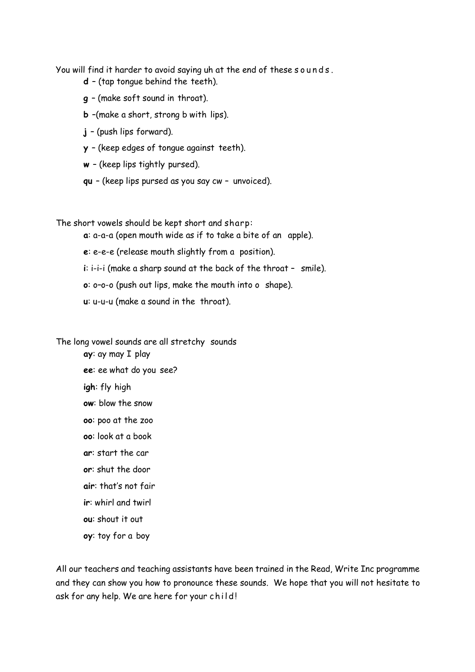You will find it harder to avoid saying uh at the end of these sounds.

- **d**  (tap tongue behind the teeth).
- **g**  (make soft sound in throat).
- **b** –(make a short, strong b with lips).
- **j**  (push lips forward).
- **y**  (keep edges of tongue against teeth).
- **w**  (keep lips tightly pursed).
- **qu**  (keep lips pursed as you say cw unvoiced).

The short vowels should be kept short and sharp:

- **a**: a-a-a (open mouth wide as if to take a bite of an apple).
- **e**: e-e-e (release mouth slightly from a position).
- **i**: i-i-i (make a sharp sound at the back of the throat smile).
- **o**: o–o-o (push out lips, make the mouth into o shape).
- **u**: u-u-u (make a sound in the throat).

The long vowel sounds are all stretchy sounds

**ay**: ay may I play **ee**: ee what do you see? **igh**: fly high **ow**: blow the snow **oo**: poo at the zoo **oo**: look at a book **ar**: start the car **or**: shut the door **air**: that's not fair **ir**: whirl and twirl **ou**: shout it out

**oy**: toy for a boy

All our teachers and teaching assistants have been trained in the Read, Write Inc programme and they can show you how to pronounce these sounds. We hope that you will not hesitate to ask for any help. We are here for your child!